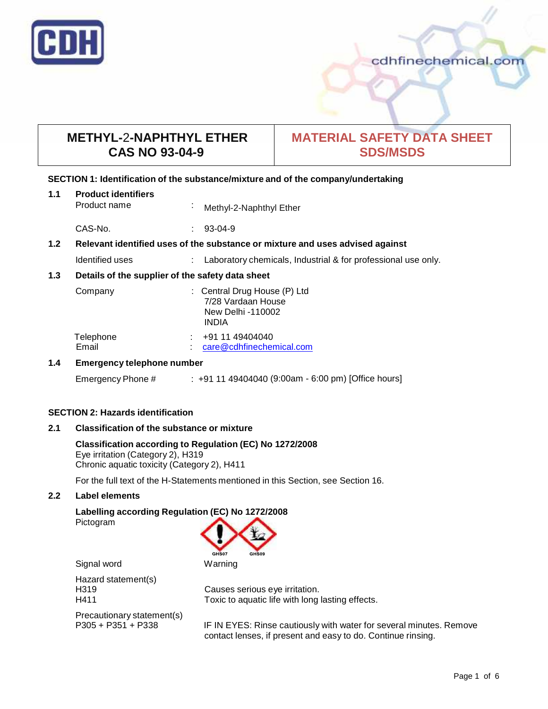

# **METHYL-**2**-NAPHTHYL ETHER CAS NO 93-04-9**

# **MATERIAL SAFETY DATA SHEET SDS/MSDS**

# **SECTION 1: Identification of the substance/mixture and of the company/undertaking**

| 1.1 | <b>Product identifiers</b><br>Product name                                    |    | Methyl-2-Naphthyl Ether                                                                 |
|-----|-------------------------------------------------------------------------------|----|-----------------------------------------------------------------------------------------|
|     | CAS-No.                                                                       | ÷. | $93-04-9$                                                                               |
| 1.2 | Relevant identified uses of the substance or mixture and uses advised against |    |                                                                                         |
|     | Identified uses                                                               |    | Laboratory chemicals, Industrial & for professional use only.                           |
| 1.3 | Details of the supplier of the safety data sheet                              |    |                                                                                         |
|     | Company                                                                       |    | : Central Drug House (P) Ltd<br>7/28 Vardaan House<br>New Delhi -110002<br><b>INDIA</b> |
|     | Telephone<br>Email                                                            |    | +91 11 49404040<br>care@cdhfinechemical.com                                             |
| 1.4 | <b>Emergency telephone number</b>                                             |    |                                                                                         |

Emergency Phone # : +91 11 49404040 (9:00am - 6:00 pm) [Office hours]

# **SECTION 2: Hazards identification**

# **2.1 Classification of the substance ormixture**

## **Classification according to Regulation (EC) No 1272/2008** Eye irritation (Category 2), H319

Chronic aquatic toxicity (Category 2), H411

For the full text of the H-Statements mentioned in this Section, see Section 16.

# **2.2 Label elements**

# **Labelling according Regulation (EC) No 1272/2008**

Pictogram



Signal word Warning

Hazard statement(s)

Precautionary statement(s)<br>P305 + P351 + P338

H319 Causes serious eye irritation. H411 Toxic to aquatic life with long lasting effects.

> IF IN EYES: Rinse cautiously with water for several minutes. Remove contact lenses, if present and easy to do. Continue rinsing.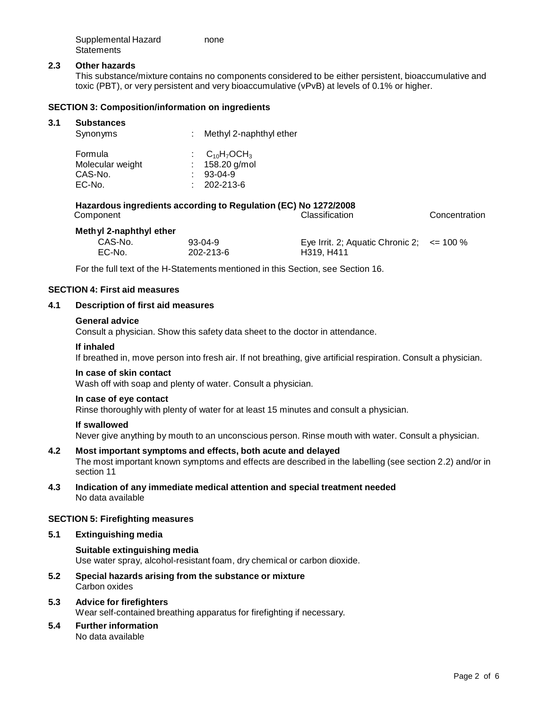| Supplemental Hazard | none |
|---------------------|------|
| Statements          |      |

## **2.3 Other hazards**

This substance/mixture contains no components considered to be either persistent, bioaccumulative and toxic (PBT), or very persistent and very bioaccumulative (vPvB) at levels of 0.1% or higher.

## **SECTION 3: Composition/information on ingredients**

#### **3.1 Substances**

| Synonyms         | : Methyl 2-naphthyl ether |
|------------------|---------------------------|
| Formula          | $C_{10}H_7OCH_3$          |
| Molecular weight | : $158.20$ g/mol          |
| CAS-No.          | $: 93-04-9$               |
| EC-No.           | $: 202 - 213 - 6$         |

# **Hazardous ingredients according to Regulation (EC) No 1272/2008**

| Component               |           | <b>Classification</b>                          | Concentration |
|-------------------------|-----------|------------------------------------------------|---------------|
| Methyl 2-naphthyl ether |           |                                                |               |
| CAS-No.                 | $93-04-9$ | Eye Irrit. 2; Aquatic Chronic 2; $\le$ = 100 % |               |
| EC-No.                  | 202-213-6 | H319, H411                                     |               |

For the full text of the H-Statements mentioned in this Section, see Section 16.

#### **SECTION 4: First aid measures**

#### **4.1 Description of first aid measures**

#### **General advice**

Consult a physician. Show this safety data sheet to the doctor in attendance.

#### **If inhaled**

If breathed in, move person into fresh air. If not breathing, give artificial respiration. Consult a physician.

#### **In case of skin contact**

Wash off with soap and plenty of water. Consult a physician.

#### **In case of eye contact**

Rinse thoroughly with plenty of water for at least 15 minutes and consult a physician.

#### **If swallowed**

Never give anything by mouth to an unconscious person. Rinse mouth with water. Consult a physician.

#### **4.2 Most important symptoms and effects, both acute and delayed**

The most important known symptoms and effects are described in the labelling (see section 2.2) and/or in section 11

**4.3 Indication of any immediate medical attention and special treatment needed** No data available

#### **SECTION 5: Firefighting measures**

#### **5.1 Extinguishing media**

### **Suitable extinguishing media** Use water spray, alcohol-resistant foam, dry chemical or carbon dioxide.

**5.2 Special hazards arising from the substance ormixture** Carbon oxides

# **5.3 Advice for firefighters**

Wear self-contained breathing apparatus for firefighting if necessary.

# **5.4 Further information**

No data available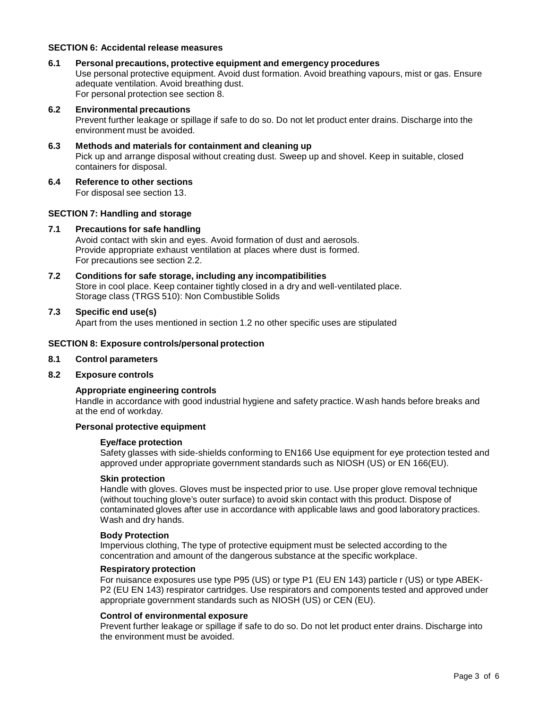# **SECTION 6: Accidental release measures**

**6.1 Personal precautions, protective equipment and emergency procedures** Use personal protective equipment. Avoid dust formation. Avoid breathing vapours, mist or gas. Ensure adequate ventilation. Avoid breathing dust. For personal protection see section 8.

#### **6.2 Environmental precautions**

Prevent further leakage or spillage if safe to do so. Do not let product enter drains. Discharge into the environment must be avoided.

- **6.3 Methods and materials for containment and cleaning up** Pick up and arrange disposal without creating dust. Sweep up and shovel. Keep in suitable, closed containers for disposal.
- **6.4 Reference to other sections** For disposal see section 13.

#### **SECTION 7: Handling and storage**

#### **7.1 Precautions for safe handling**

Avoid contact with skin and eyes. Avoid formation of dust and aerosols. Provide appropriate exhaust ventilation at places where dust is formed. For precautions see section 2.2.

**7.2 Conditions for safe storage, including any incompatibilities** Store in cool place. Keep container tightly closed in a dry and well-ventilated place. Storage class (TRGS 510): Non Combustible Solids

## **7.3 Specific end use(s)**

Apart from the uses mentioned in section 1.2 no other specific uses are stipulated

#### **SECTION 8: Exposure controls/personal protection**

### **8.1 Control parameters**

# **8.2 Exposure controls**

#### **Appropriate engineering controls**

Handle in accordance with good industrial hygiene and safety practice. Wash hands before breaks and at the end of workday.

### **Personal protective equipment**

#### **Eye/face protection**

Safety glasses with side-shields conforming to EN166 Use equipment for eye protection tested and approved under appropriate government standards such as NIOSH (US) or EN 166(EU).

#### **Skin protection**

Handle with gloves. Gloves must be inspected prior to use. Use proper glove removal technique (without touching glove's outer surface) to avoid skin contact with this product. Dispose of contaminated gloves after use in accordance with applicable laws and good laboratory practices. Wash and dry hands.

#### **Body Protection**

Impervious clothing, The type of protective equipment must be selected according to the concentration and amount of the dangerous substance at the specific workplace.

#### **Respiratory protection**

For nuisance exposures use type P95 (US) or type P1 (EU EN 143) particle r (US) or type ABEK- P2 (EU EN 143) respirator cartridges. Use respirators and components tested and approved under appropriate government standards such as NIOSH (US) or CEN (EU).

#### **Control of environmental exposure**

Prevent further leakage or spillage if safe to do so. Do not let product enter drains. Discharge into the environment must be avoided.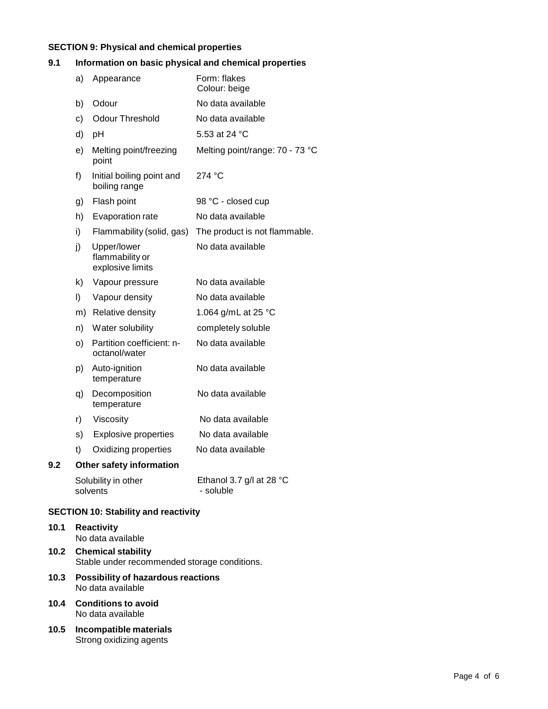# **SECTION 9: Physical and chemical properties**

# **9.1 Information on basic physical and chemical properties**

|     | a) | Appearance                                         | Form: flakes<br>Colour: beige                   |
|-----|----|----------------------------------------------------|-------------------------------------------------|
|     | b) | Odour                                              | No data available                               |
|     | c) | <b>Odour Threshold</b>                             | No data available                               |
|     |    |                                                    | 5.53 at 24 °C                                   |
|     | d) | рH                                                 |                                                 |
|     | e) | Melting point/freezing<br>point                    | Melting point/range: 70 - 73 °C                 |
|     | f) | Initial boiling point and<br>boiling range         | 274 °C                                          |
|     | g) | Flash point                                        | 98 °C - closed cup                              |
|     | h) | Evaporation rate                                   | No data available                               |
|     | i) | Flammability (solid, gas)                          | The product is not flammable.                   |
|     | j) | Upper/lower<br>flammability or<br>explosive limits | No data available                               |
|     | k) | Vapour pressure                                    | No data available                               |
|     | I) | Vapour density                                     | No data available                               |
|     |    | m) Relative density                                | 1.064 g/mL at 25 °C                             |
|     | n) | Water solubility                                   | completely soluble                              |
|     | o) | Partition coefficient: n-<br>octanol/water         | No data available                               |
|     | p) | Auto-ignition<br>temperature                       | No data available                               |
|     | q) | Decomposition<br>temperature                       | No data available                               |
|     | r) | Viscosity                                          | No data available                               |
|     | s) | <b>Explosive properties</b>                        | No data available                               |
|     | t) | Oxidizing properties                               | No data available                               |
| 9.2 |    | Other safety information                           |                                                 |
|     |    | Solubility in other<br>solvents                    | Ethanol 3.7 g/l at 28 $^{\circ}$ C<br>- soluble |
|     |    | Contract Market and the United<br>45. PA           |                                                 |

# **SECTION 10: Stability and reactivity**

| 10.1 | Reactivity        |  |  |
|------|-------------------|--|--|
|      | No data available |  |  |

- **10.2 Chemical stability** Stable under recommended storage conditions.
- **10.3 Possibility of hazardous reactions** No data available
- **10.4 Conditions to avoid** No data available
- **10.5 Incompatible materials** Strong oxidizing agents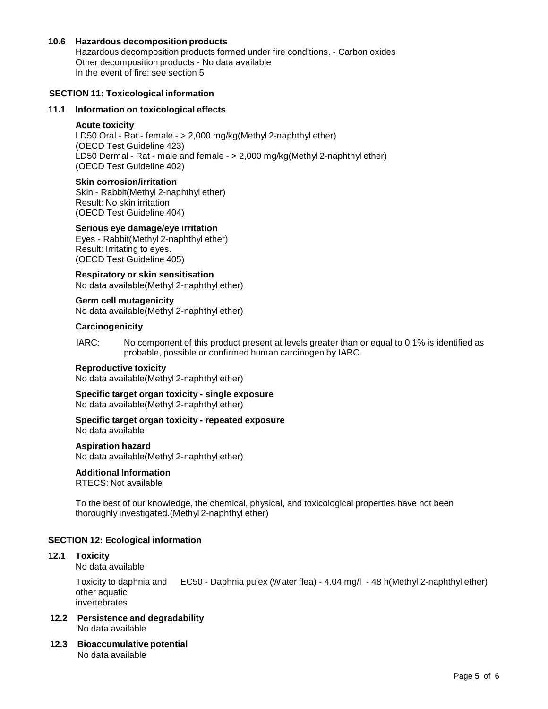# **10.6 Hazardous decomposition products**

Hazardous decomposition products formed under fire conditions. - Carbon oxides Other decomposition products - No data available In the event of fire: see section 5

## **SECTION 11: Toxicological information**

## **11.1 Information on toxicological effects**

### **Acute toxicity**

LD50 Oral - Rat - female - > 2,000 mg/kg(Methyl 2-naphthyl ether) (OECD Test Guideline 423) LD50 Dermal - Rat - male and female - > 2,000 mg/kg(Methyl 2-naphthyl ether) (OECD Test Guideline 402)

### **Skin corrosion/irritation**

Skin - Rabbit(Methyl 2-naphthyl ether) Result: No skin irritation (OECD Test Guideline 404)

# **Serious eye damage/eye irritation**

Eyes - Rabbit(Methyl 2-naphthyl ether) Result: Irritating to eyes. (OECD Test Guideline 405)

**Respiratory orskin sensitisation** No data available(Methyl 2-naphthyl ether)

# **Germ cell mutagenicity**

No data available(Methyl 2-naphthyl ether)

## **Carcinogenicity**

IARC: No component of this product present at levels greater than or equal to 0.1% is identified as probable, possible or confirmed human carcinogen by IARC.

#### **Reproductive toxicity**

No data available(Methyl 2-naphthyl ether)

**Specific target organ toxicity - single exposure** No data available(Methyl 2-naphthyl ether)

# **Specific target organ toxicity - repeated exposure**

No data available

#### **Aspiration hazard**

No data available(Methyl 2-naphthyl ether)

# **Additional Information**

RTECS: Not available

To the best of our knowledge, the chemical, physical, and toxicological properties have not been thoroughly investigated.(Methyl 2-naphthyl ether)

# **SECTION 12: Ecological information**

#### **12.1 Toxicity**

No data available

Toxicity to daphnia and EC50 - Daphnia pulex (Water flea) - 4.04 mg/l - 48 h(Methyl 2-naphthyl ether) other aquatic invertebrates

- **12.2 Persistence and degradability** No data available
- **12.3 Bioaccumulative potential** No data available